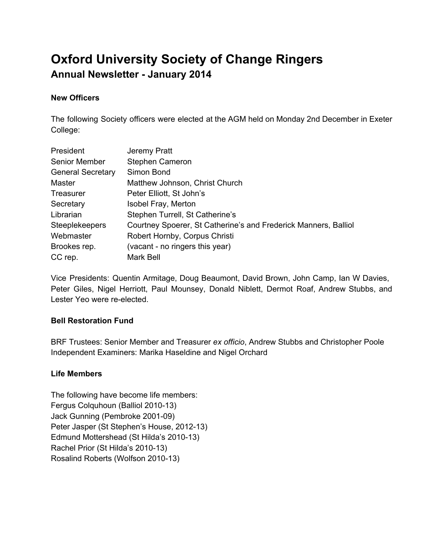# **Oxford University Society of Change Ringers Annual Newsletter January 2014**

## **New Officers**

The following Society officers were elected at the AGM held on Monday 2nd December in Exeter College:

| President                | Jeremy Pratt                                                    |  |
|--------------------------|-----------------------------------------------------------------|--|
| Senior Member            | Stephen Cameron                                                 |  |
| <b>General Secretary</b> | Simon Bond                                                      |  |
| Master                   | Matthew Johnson, Christ Church                                  |  |
| <b>Treasurer</b>         | Peter Elliott, St John's                                        |  |
| Secretary                | Isobel Fray, Merton                                             |  |
| Librarian                | Stephen Turrell, St Catherine's                                 |  |
| <b>Steeplekeepers</b>    | Courtney Spoerer, St Catherine's and Frederick Manners, Balliol |  |
| Webmaster                | Robert Hornby, Corpus Christi                                   |  |
| Brookes rep.             | (vacant - no ringers this year)                                 |  |
| CC rep.                  | Mark Bell                                                       |  |

Vice Presidents: Quentin Armitage, Doug Beaumont, David Brown, John Camp, Ian W Davies, Peter Giles, Nigel Herriott, Paul Mounsey, Donald Niblett, Dermot Roaf, Andrew Stubbs, and Lester Yeo were re-elected.

## **Bell Restoration Fund**

BRF Trustees: Senior Member and Treasurer *ex officio*, Andrew Stubbs and Christopher Poole Independent Examiners: Marika Haseldine and Nigel Orchard

## **Life Members**

The following have become life members: Fergus Colquhoun (Balliol 2010-13) Jack Gunning (Pembroke 2001-09) Peter Jasper (St Stephen's House, 2012-13) Edmund Mottershead (St Hilda's 2010-13) Rachel Prior (St Hilda's 2010-13) Rosalind Roberts (Wolfson 2010-13)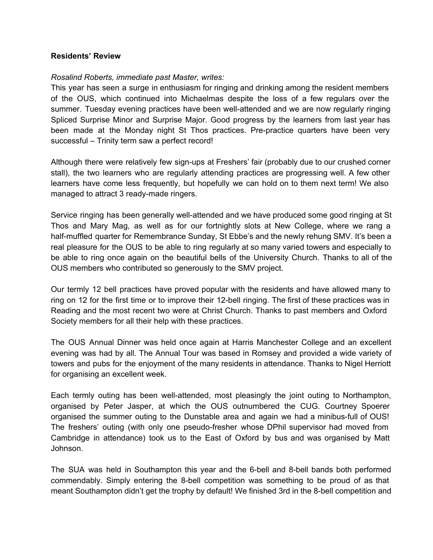#### **Residents' Review**

#### *Rosalind Roberts, immediate past Master, writes:*

This year has seen a surge in enthusiasm for ringing and drinking among the resident members of the OUS, which continued into Michaelmas despite the loss of a few regulars over the summer. Tuesday evening practices have been well-attended and we are now regularly ringing Spliced Surprise Minor and Surprise Major. Good progress by the learners from last year has been made at the Monday night St Thos practices. Pre-practice quarters have been very successful – Trinity term saw a perfect record!

Although there were relatively few sign-ups at Freshers' fair (probably due to our crushed corner stall), the two learners who are regularly attending practices are progressing well. A few other learners have come less frequently, but hopefully we can hold on to them next term! We also managed to attract 3 ready-made ringers.

Service ringing has been generally well-attended and we have produced some good ringing at St Thos and Mary Mag, as well as for our fortnightly slots at New College, where we rang a half-muffled quarter for Remembrance Sunday, St Ebbe's and the newly rehung SMV. It's been a real pleasure for the OUS to be able to ring regularly at so many varied towers and especially to be able to ring once again on the beautiful bells of the University Church. Thanks to all of the OUS members who contributed so generously to the SMV project.

Our termly 12 bell practices have proved popular with the residents and have allowed many to ring on 12 for the first time or to improve their 12-bell ringing. The first of these practices was in Reading and the most recent two were at Christ Church. Thanks to past members and Oxford Society members for all their help with these practices.

The OUS Annual Dinner was held once again at Harris Manchester College and an excellent evening was had by all. The Annual Tour was based in Romsey and provided a wide variety of towers and pubs for the enjoyment of the many residents in attendance. Thanks to Nigel Herriott for organising an excellent week.

Each termly outing has been well-attended, most pleasingly the joint outing to Northampton, organised by Peter Jasper, at which the OUS outnumbered the CUG. Courtney Spoerer organised the summer outing to the Dunstable area and again we had a minibus-full of OUS! The freshers' outing (with only one pseudo-fresher whose DPhil supervisor had moved from Cambridge in attendance) took us to the East of Oxford by bus and was organised by Matt Johnson.

The SUA was held in Southampton this year and the 6-bell and 8-bell bands both performed commendably. Simply entering the 8-bell competition was something to be proud of as that meant Southampton didn't get the trophy by default! We finished 3rd in the 8-bell competition and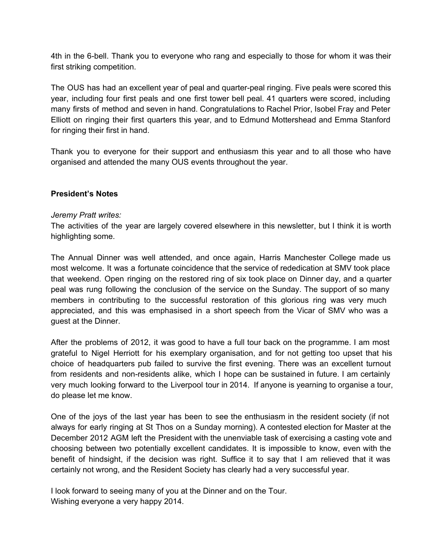4th in the 6-bell. Thank you to everyone who rang and especially to those for whom it was their first striking competition.

The OUS has had an excellent year of peal and quarter-peal ringing. Five peals were scored this year, including four first peals and one first tower bell peal. 41 quarters were scored, including many firsts of method and seven in hand. Congratulations to Rachel Prior, Isobel Fray and Peter Elliott on ringing their first quarters this year, and to Edmund Mottershead and Emma Stanford for ringing their first in hand.

Thank you to everyone for their support and enthusiasm this year and to all those who have organised and attended the many OUS events throughout the year.

#### **President's Notes**

#### *Jeremy Pratt writes:*

The activities of the year are largely covered elsewhere in this newsletter, but I think it is worth highlighting some.

The Annual Dinner was well attended, and once again, Harris Manchester College made us most welcome. It was a fortunate coincidence that the service of rededication at SMV took place that weekend. Open ringing on the restored ring of six took place on Dinner day, and a quarter peal was rung following the conclusion of the service on the Sunday. The support of so many members in contributing to the successful restoration of this glorious ring was very much appreciated, and this was emphasised in a short speech from the Vicar of SMV who was a guest at the Dinner.

After the problems of 2012, it was good to have a full tour back on the programme. I am most grateful to Nigel Herriott for his exemplary organisation, and for not getting too upset that his choice of headquarters pub failed to survive the first evening. There was an excellent turnout from residents and non-residents alike, which I hope can be sustained in future. I am certainly very much looking forward to the Liverpool tour in 2014. If anyone is yearning to organise a tour, do please let me know.

One of the joys of the last year has been to see the enthusiasm in the resident society (if not always for early ringing at St Thos on a Sunday morning). A contested election for Master at the December 2012 AGM left the President with the unenviable task of exercising a casting vote and choosing between two potentially excellent candidates. It is impossible to know, even with the benefit of hindsight, if the decision was right. Suffice it to say that I am relieved that it was certainly not wrong, and the Resident Society has clearly had a very successful year.

I look forward to seeing many of you at the Dinner and on the Tour. Wishing everyone a very happy 2014.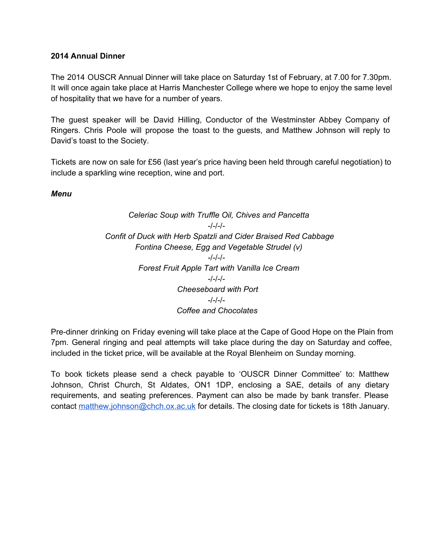## **2014 Annual Dinner**

The 2014 OUSCR Annual Dinner will take place on Saturday 1st of February, at 7.00 for 7.30pm. It will once again take place at Harris Manchester College where we hope to enjoy the same level of hospitality that we have for a number of years.

The guest speaker will be David Hilling, Conductor of the Westminster Abbey Company of Ringers. Chris Poole will propose the toast to the guests, and Matthew Johnson will reply to David's toast to the Society.

Tickets are now on sale for £56 (last year's price having been held through careful negotiation) to include a sparkling wine reception, wine and port.

*Menu*

*Celeriac Soup with Truffle Oil, Chives and Pancetta*  $-/-/-/-$ *Confit of Duck with Herb Spatzli and Cider Braised Red Cabbage Fontina Cheese, Egg and Vegetable Strudel (v)*  $-/-/-/-$ *Forest Fruit Apple Tart with Vanilla Ice Cream*  $-/-/-/-$ *Cheeseboard with Port*  $-/-/-/-$ *Coffee and Chocolates*

Pre-dinner drinking on Friday evening will take place at the Cape of Good Hope on the Plain from 7pm. General ringing and peal attempts will take place during the day on Saturday and coffee, included in the ticket price, will be available at the Royal Blenheim on Sunday morning.

To book tickets please send a check payable to 'OUSCR Dinner Committee' to: Matthew Johnson, Christ Church, St Aldates, ON1 1DP, enclosing a SAE, details of any dietary requirements, and seating preferences. Payment can also be made by bank transfer. Please contact [matthew.johnson@chch.ox.ac.uk](mailto:matthew.johnson@chch.ox.ac.uk) for details. The closing date for tickets is 18th January.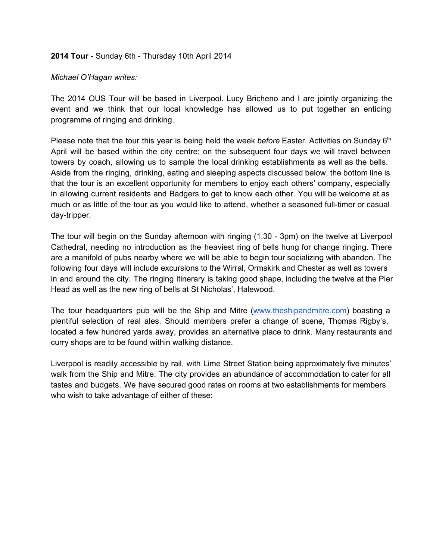#### **2014 Tour** - Sunday 6th - Thursday 10th April 2014

#### *Michael O'Hagan writes:*

The 2014 OUS Tour will be based in Liverpool. Lucy Bricheno and I are jointly organizing the event and we think that our local knowledge has allowed us to put together an enticing programme of ringing and drinking.

Please note that the tour this year is being held the week before Easter. Activities on Sunday 6<sup>th</sup> April will be based within the city centre; on the subsequent four days we will travel between towers by coach, allowing us to sample the local drinking establishments as well as the bells. Aside from the ringing, drinking, eating and sleeping aspects discussed below, the bottom line is that the tour is an excellent opportunity for members to enjoy each others' company, especially in allowing current residents and Badgers to get to know each other. You will be welcome at as much or as little of the tour as you would like to attend, whether a seasoned full-timer or casual day-tripper.

The tour will begin on the Sunday afternoon with ringing (1.30 - 3pm) on the twelve at Liverpool Cathedral, needing no introduction as the heaviest ring of bells hung for change ringing. There are a manifold of pubs nearby where we will be able to begin tour socializing with abandon. The following four days will include excursions to the Wirral, Ormskirk and Chester as well as towers in and around the city. The ringing itinerary is taking good shape, including the twelve at the Pier Head as well as the new ring of bells at St Nicholas', Halewood.

The tour headquarters pub will be the Ship and Mitre [\(www.theshipandmitre.com](http://www.google.com/url?q=http%3A%2F%2Fwww.theshipandmitre.com%2F&sa=D&sntz=1&usg=AFQjCNGoUTmDgKLqeaAQvbKqit5L9bw8Uw)) boasting a plentiful selection of real ales. Should members prefer a change of scene, Thomas Rigby's, located a few hundred yards away, provides an alternative place to drink. Many restaurants and curry shops are to be found within walking distance.

Liverpool is readily accessible by rail, with Lime Street Station being approximately five minutes' walk from the Ship and Mitre. The city provides an abundance of accommodation to cater for all tastes and budgets. We have secured good rates on rooms at two establishments for members who wish to take advantage of either of these: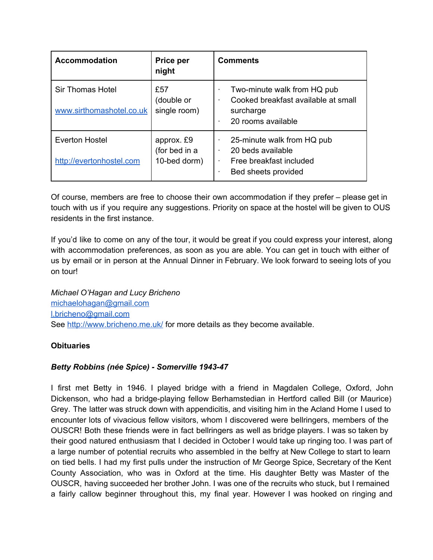| <b>Accommodation</b>                                | Price per<br>night                          | <b>Comments</b>                                                                                                 |
|-----------------------------------------------------|---------------------------------------------|-----------------------------------------------------------------------------------------------------------------|
| <b>Sir Thomas Hotel</b><br>www.sirthomashotel.co.uk | £57<br>(double or<br>single room)           | Two-minute walk from HQ pub<br>Cooked breakfast available at small<br>٠<br>surcharge<br>20 rooms available<br>٠ |
| <b>Everton Hostel</b><br>http://evertonhostel.com   | approx. £9<br>(for bed in a<br>10-bed dorm) | 25-minute walk from HQ pub<br>20 beds available<br>٠<br>Free breakfast included<br>Bed sheets provided<br>٠     |

Of course, members are free to choose their own accommodation if they prefer – please get in touch with us if you require any suggestions. Priority on space at the hostel will be given to OUS residents in the first instance.

If you'd like to come on any of the tour, it would be great if you could express your interest, along with accommodation preferences, as soon as you are able. You can get in touch with either of us by email or in person at the Annual Dinner in February. We look forward to seeing lots of you on tour!

*Michael O'Hagan and Lucy Bricheno* [michaelohagan@gmail.com](mailto:michaelohagan@gmail.com) [l.bricheno@gmail.com](mailto:l.bricheno@gmail.com) See [http://www.bricheno.me.uk/](http://www.google.com/url?q=http%3A%2F%2Fwww.bricheno.me.uk%2F&sa=D&sntz=1&usg=AFQjCNGrUBpF0ZYOXwO1VloXHfTUkJOaXw) for more details as they become available.

## **Obituaries**

## *Betty Robbins (née Spice) Somerville 194347*

I first met Betty in 1946. I played bridge with a friend in Magdalen College, Oxford, John Dickenson, who had a bridge-playing fellow Berhamstedian in Hertford called Bill (or Maurice) Grey. The latter was struck down with appendicitis, and visiting him in the Acland Home I used to encounter lots of vivacious fellow visitors, whom I discovered were bellringers, members of the OUSCR! Both these friends were in fact bellringers as well as bridge players. I was so taken by their good natured enthusiasm that I decided in October I would take up ringing too. I was part of a large number of potential recruits who assembled in the belfry at New College to start to learn on tied bells. I had my first pulls under the instruction of Mr George Spice, Secretary of the Kent County Association, who was in Oxford at the time. His daughter Betty was Master of the OUSCR, having succeeded her brother John. I was one of the recruits who stuck, but I remained a fairly callow beginner throughout this, my final year. However I was hooked on ringing and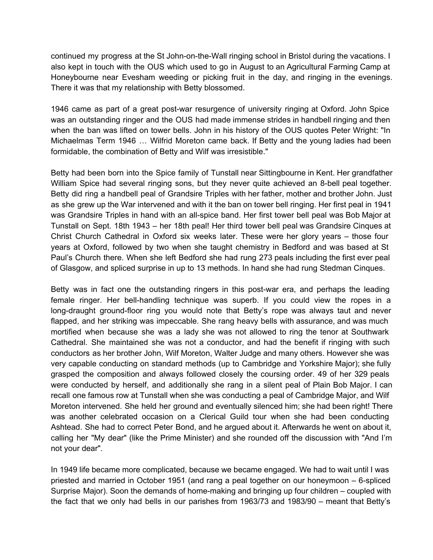continued my progress at the St John-on-the-Wall ringing school in Bristol during the vacations. I also kept in touch with the OUS which used to go in August to an Agricultural Farming Camp at Honeybourne near Evesham weeding or picking fruit in the day, and ringing in the evenings. There it was that my relationship with Betty blossomed.

1946 came as part of a great post-war resurgence of university ringing at Oxford. John Spice was an outstanding ringer and the OUS had made immense strides in handbell ringing and then when the ban was lifted on tower bells. John in his history of the OUS quotes Peter Wright: "In Michaelmas Term 1946 … Wilfrid Moreton came back. If Betty and the young ladies had been formidable, the combination of Betty and Wilf was irresistible."

Betty had been born into the Spice family of Tunstall near Sittingbourne in Kent. Her grandfather William Spice had several ringing sons, but they never quite achieved an 8-bell peal together. Betty did ring a handbell peal of Grandsire Triples with her father, mother and brother John. Just as she grew up the War intervened and with it the ban on tower bell ringing. Her first peal in 1941 was Grandsire Triples in hand with an all-spice band. Her first tower bell peal was Bob Major at Tunstall on Sept. 18th 1943 – her 18th peal! Her third tower bell peal was Grandsire Cinques at Christ Church Cathedral in Oxford six weeks later. These were her glory years – those four years at Oxford, followed by two when she taught chemistry in Bedford and was based at St Paul's Church there. When she left Bedford she had rung 273 peals including the first ever peal of Glasgow, and spliced surprise in up to 13 methods. In hand she had rung Stedman Cinques.

Betty was in fact one the outstanding ringers in this post-war era, and perhaps the leading female ringer. Her bell-handling technique was superb. If you could view the ropes in a long-draught ground-floor ring you would note that Betty's rope was always taut and never flapped, and her striking was impeccable. She rang heavy bells with assurance, and was much mortified when because she was a lady she was not allowed to ring the tenor at Southwark Cathedral. She maintained she was not a conductor, and had the benefit if ringing with such conductors as her brother John, Wilf Moreton, Walter Judge and many others. However she was very capable conducting on standard methods (up to Cambridge and Yorkshire Major); she fully grasped the composition and always followed closely the coursing order. 49 of her 329 peals were conducted by herself, and additionally she rang in a silent peal of Plain Bob Major. I can recall one famous row at Tunstall when she was conducting a peal of Cambridge Major, and Wilf Moreton intervened. She held her ground and eventually silenced him; she had been right! There was another celebrated occasion on a Clerical Guild tour when she had been conducting Ashtead. She had to correct Peter Bond, and he argued about it. Afterwards he went on about it, calling her "My dear" (like the Prime Minister) and she rounded off the discussion with "And I'm not your dear".

In 1949 life became more complicated, because we became engaged. We had to wait until I was priested and married in October 1951 (and rang a peal together on our honeymoon  $-6$ -spliced Surprise Major). Soon the demands of home-making and bringing up four children – coupled with the fact that we only had bells in our parishes from 1963/73 and 1983/90 – meant that Betty's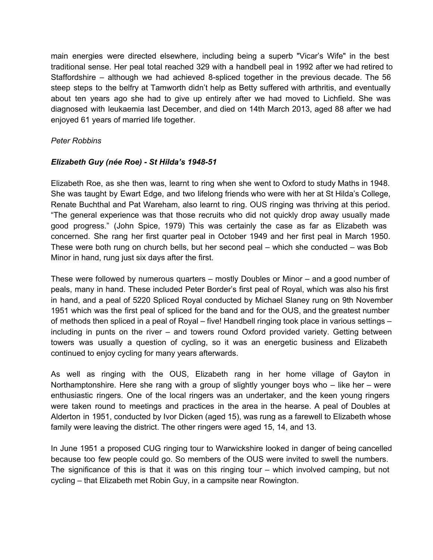main energies were directed elsewhere, including being a superb "Vicar's Wife" in the best traditional sense. Her peal total reached 329 with a handbell peal in 1992 after we had retired to Staffordshire – although we had achieved 8-spliced together in the previous decade. The  $56$ steep steps to the belfry at Tamworth didn't help as Betty suffered with arthritis, and eventually about ten years ago she had to give up entirely after we had moved to Lichfield. She was diagnosed with leukaemia last December, and died on 14th March 2013, aged 88 after we had enjoyed 61 years of married life together.

## *Peter Robbins*

## *Elizabeth Guy (née Roe) St Hilda's 194851*

Elizabeth Roe, as she then was, learnt to ring when she went to Oxford to study Maths in 1948. She was taught by Ewart Edge, and two lifelong friends who were with her at St Hilda's College, Renate Buchthal and Pat Wareham, also learnt to ring. OUS ringing was thriving at this period. "The general experience was that those recruits who did not quickly drop away usually made good progress." (John Spice, 1979) This was certainly the case as far as Elizabeth was concerned. She rang her first quarter peal in October 1949 and her first peal in March 1950. These were both rung on church bells, but her second peal – which she conducted – was Bob Minor in hand, rung just six days after the first.

These were followed by numerous quarters – mostly Doubles or Minor – and a good number of peals, many in hand. These included Peter Border's first peal of Royal, which was also his first in hand, and a peal of 5220 Spliced Royal conducted by Michael Slaney rung on 9th November 1951 which was the first peal of spliced for the band and for the OUS, and the greatest number of methods then spliced in a peal of Royal – five! Handbell ringing took place in various settings – including in punts on the river – and towers round Oxford provided variety. Getting between towers was usually a question of cycling, so it was an energetic business and Elizabeth continued to enjoy cycling for many years afterwards.

As well as ringing with the OUS, Elizabeth rang in her home village of Gayton in Northamptonshire. Here she rang with a group of slightly younger boys who – like her – were enthusiastic ringers. One of the local ringers was an undertaker, and the keen young ringers were taken round to meetings and practices in the area in the hearse. A peal of Doubles at Alderton in 1951, conducted by Ivor Dicken (aged 15), was rung as a farewell to Elizabeth whose family were leaving the district. The other ringers were aged 15, 14, and 13.

In June 1951 a proposed CUG ringing tour to Warwickshire looked in danger of being cancelled because too few people could go. So members of the OUS were invited to swell the numbers. The significance of this is that it was on this ringing tour – which involved camping, but not cycling – that Elizabeth met Robin Guy, in a campsite near Rowington.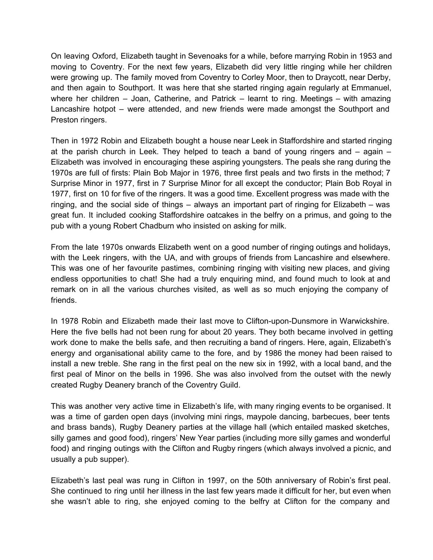On leaving Oxford, Elizabeth taught in Sevenoaks for a while, before marrying Robin in 1953 and moving to Coventry. For the next few years, Elizabeth did very little ringing while her children were growing up. The family moved from Coventry to Corley Moor, then to Draycott, near Derby, and then again to Southport. It was here that she started ringing again regularly at Emmanuel, where her children – Joan, Catherine, and Patrick – learnt to ring. Meetings – with amazing Lancashire hotpot – were attended, and new friends were made amongst the Southport and Preston ringers.

Then in 1972 Robin and Elizabeth bought a house near Leek in Staffordshire and started ringing at the parish church in Leek. They helped to teach a band of young ringers and – again – Elizabeth was involved in encouraging these aspiring youngsters. The peals she rang during the 1970s are full of firsts: Plain Bob Major in 1976, three first peals and two firsts in the method; 7 Surprise Minor in 1977, first in 7 Surprise Minor for all except the conductor; Plain Bob Royal in 1977, first on 10 for five of the ringers. It was a good time. Excellent progress was made with the ringing, and the social side of things – always an important part of ringing for Elizabeth – was great fun. It included cooking Staffordshire oatcakes in the belfry on a primus, and going to the pub with a young Robert Chadburn who insisted on asking for milk.

From the late 1970s onwards Elizabeth went on a good number of ringing outings and holidays, with the Leek ringers, with the UA, and with groups of friends from Lancashire and elsewhere. This was one of her favourite pastimes, combining ringing with visiting new places, and giving endless opportunities to chat! She had a truly enquiring mind, and found much to look at and remark on in all the various churches visited, as well as so much enjoying the company of friends.

In 1978 Robin and Elizabeth made their last move to Clifton-upon-Dunsmore in Warwickshire. Here the five bells had not been rung for about 20 years. They both became involved in getting work done to make the bells safe, and then recruiting a band of ringers. Here, again, Elizabeth's energy and organisational ability came to the fore, and by 1986 the money had been raised to install a new treble. She rang in the first peal on the new six in 1992, with a local band, and the first peal of Minor on the bells in 1996. She was also involved from the outset with the newly created Rugby Deanery branch of the Coventry Guild.

This was another very active time in Elizabeth's life, with many ringing events to be organised. It was a time of garden open days (involving mini rings, maypole dancing, barbecues, beer tents and brass bands), Rugby Deanery parties at the village hall (which entailed masked sketches, silly games and good food), ringers' New Year parties (including more silly games and wonderful food) and ringing outings with the Clifton and Rugby ringers (which always involved a picnic, and usually a pub supper).

Elizabeth's last peal was rung in Clifton in 1997, on the 50th anniversary of Robin's first peal. She continued to ring until her illness in the last few years made it difficult for her, but even when she wasn't able to ring, she enjoyed coming to the belfry at Clifton for the company and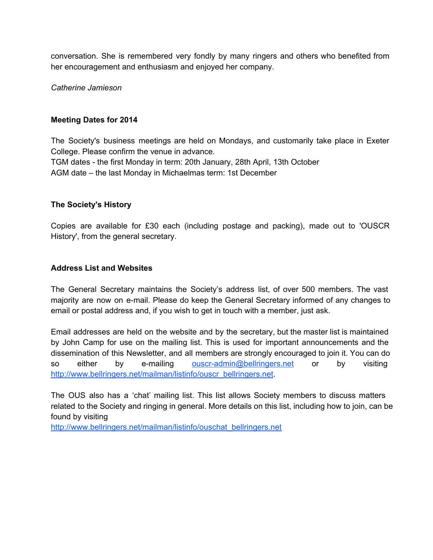conversation. She is remembered very fondly by many ringers and others who benefited from her encouragement and enthusiasm and enjoyed her company.

*Catherine Jamieson*

#### **Meeting Dates for 2014**

The Society's business meetings are held on Mondays, and customarily take place in Exeter College. Please confirm the venue in advance. TGM dates the first Monday in term: 20th January, 28th April, 13th October AGM date – the last Monday in Michaelmas term: 1st December

#### **The Society's History**

Copies are available for £30 each (including postage and packing), made out to 'OUSCR History', from the general secretary.

#### **Address List and Websites**

The General Secretary maintains the Society's address list, of over 500 members. The vast majority are now on email. Please do keep the General Secretary informed of any changes to email or postal address and, if you wish to get in touch with a member, just ask.

Email addresses are held on the website and by the secretary, but the master list is maintained by John Camp for use on the mailing list. This is used for important announcements and the dissemination of this Newsletter, and all members are strongly encouraged to join it. You can do so either by e-mailing ouscr-admin@bellringers.net or by visiting [http://www.bellringers.net/mailman/listinfo/ouscr\\_bellringers.net.](http://www.google.com/url?q=http%3A%2F%2Fwww.bellringers.net%2Fmailman%2Flistinfo%2Fouscr_bellringers.net&sa=D&sntz=1&usg=AFQjCNGNUhsAQ7pBNwyMaDXwx1X1eSjVqQ)

The OUS also has a 'chat' mailing list. This list allows Society members to discuss matters related to the Society and ringing in general. More details on this list, including how to join, can be found by visiting

[http://www.bellringers.net/mailman/listinfo/ouschat\\_bellringers.net](http://www.google.com/url?q=http%3A%2F%2Fwww.bellringers.net%2Fmailman%2Flistinfo%2Fouschat_bellringers.net&sa=D&sntz=1&usg=AFQjCNHrHzgGR1anogR0NX8P2PdQlhlcog)